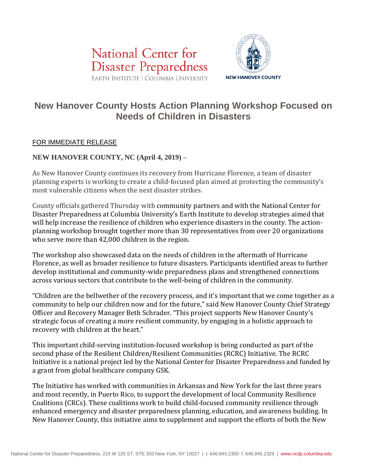



# **New Hanover County Hosts Action Planning Workshop Focused on Needs of Children in Disasters**

# FOR IMMEDIATE RELEASE

## **NEW HANOVER COUNTY, NC (April 4, 2019)** –

As New Hanover County continues its recovery from Hurricane Florence, a team of disaster planning experts is working to create a child-focused plan aimed at protecting the community's most vulnerable citizens when the next disaster strikes.

County officials gathered Thursday with community partners and with the National Center for Disaster Preparedness at Columbia University's Earth Institute to develop strategies aimed that will help increase the resilience of children who experience disasters in the county. The actionplanning workshop brought together more than 30 representatives from over 20 organizations who serve more than 42,000 children in the region.

The workshop also showcased data on the needs of children in the aftermath of Hurricane Florence, as well as broader resilience to future disasters. Participants identified areas to further develop institutional and community-wide preparedness plans and strengthened connections across various sectors that contribute to the well-being of children in the community.

"Children are the bellwether of the recovery process, and it's important that we come together as a community to help our children now and for the future," said New Hanover County Chief Strategy Officer and Recovery Manager Beth Schrader. "This project supports New Hanover County's strategic focus of creating a more resilient community, by engaging in a holistic approach to recovery with children at the heart."

This important child-serving institution-focused workshop is being conducted as part of the second phase of the Resilient Children/Resilient Communities (RCRC) Initiative. The RCRC Initiative is a national project led by the National Center for Disaster Preparedness and funded by a grant from global healthcare company GSK.

The Initiative has worked with communities in Arkansas and New York for the last three years and most recently, in Puerto Rico, to support the development of local Community Resilience Coalitions (CRCs). These coalitions work to build child-focused community resilience through enhanced emergency and disaster preparedness planning, education, and awareness building. In New Hanover County, this initiative aims to supplement and support the efforts of both the New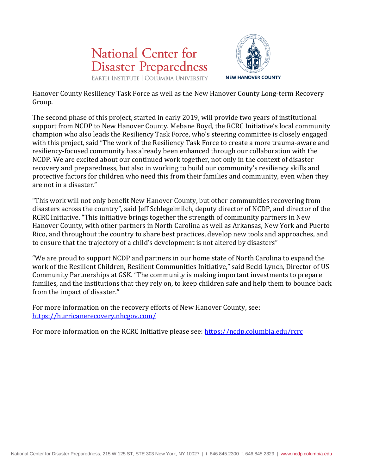



Hanover County Resiliency Task Force as well as the New Hanover County Long-term Recovery Group.

The second phase of this project, started in early 2019, will provide two years of institutional support from NCDP to New Hanover County. Mebane Boyd, the RCRC Initiative's local community champion who also leads the Resiliency Task Force, who's steering committee is closely engaged with this project, said "The work of the Resiliency Task Force to create a more trauma-aware and resiliency-focused community has already been enhanced through our collaboration with the NCDP. We are excited about our continued work together, not only in the context of disaster recovery and preparedness, but also in working to build our community's resiliency skills and protective factors for children who need this from their families and community, even when they are not in a disaster."

"This work will not only benefit New Hanover County, but other communities recovering from disasters across the country", said Jeff Schlegelmilch, deputy director of NCDP, and director of the RCRC Initiative. "This initiative brings together the strength of community partners in New Hanover County, with other partners in North Carolina as well as Arkansas, New York and Puerto Rico, and throughout the country to share best practices, develop new tools and approaches, and to ensure that the trajectory of a child's development is not altered by disasters"

"We are proud to support NCDP and partners in our home state of North Carolina to expand the work of the Resilient Children, Resilient Communities Initiative," said Becki Lynch, Director of US Community Partnerships at GSK. "The community is making important investments to prepare families, and the institutions that they rely on, to keep children safe and help them to bounce back from the impact of disaster."

For more information on the recovery efforts of New Hanover County, see: <https://hurricanerecovery.nhcgov.com/>

For more information on the RCRC Initiative please see: <https://ncdp.columbia.edu/rcrc>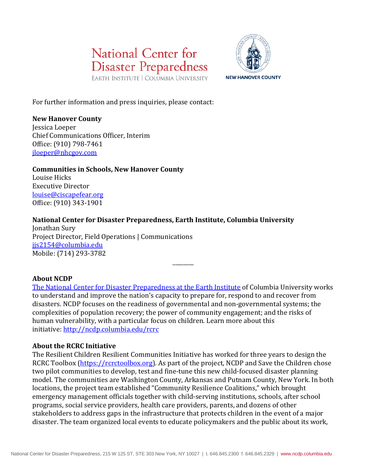



For further information and press inquiries, please contact:

#### **New Hanover County**

Jessica Loeper Chief Communications Officer, Interim Office: (910) 798-7461 [jloeper@nhcgov.com](mailto:jloeper@nhcgov.com)

**Communities in Schools, New Hanover County** Louise Hicks Executive Director [louise@ciscapefear.org](mailto:louise@ciscapefear.org) Office: (910) 343-1901

## **National Center for Disaster Preparedness, Earth Institute, Columbia University**

Jonathan Sury Project Director, Field Operations | Communications [jjs2154@columbia.edu](mailto:jjs2154@columbia.edu) Mobile: (714) 293-3782

#### **About NCDP**

[The National Center for Disaster Preparedness at the Earth Institute](http://ncdp.columbia.edu/) of Columbia University works to understand and improve the nation's capacity to prepare for, respond to and recover from disasters. NCDP focuses on the readiness of governmental and non-governmental systems; the complexities of population recovery; the power of community engagement; and the risks of human vulnerability, with a particular focus on children. Learn more about this initiative: <http://ncdp.columbia.edu/rcrc>

\_\_\_\_\_\_\_\_

#### **About the RCRC Initiative**

The Resilient Children Resilient Communities Initiative has worked for three years to design the RCRC Toolbox [\(https://rcrctoolbox.org\)](https://rcrctoolbox.org/). As part of the project, NCDP and Save the Children chose two pilot communities to develop, test and fine-tune this new child-focused disaster planning model. The communities are Washington County, Arkansas and Putnam County, New York. In both locations, the project team established "Community Resilience Coalitions," which brought emergency management officials together with child-serving institutions, schools, after school programs, social service providers, health care providers, parents, and dozens of other stakeholders to address gaps in the infrastructure that protects children in the event of a major disaster. The team organized local events to educate policymakers and the public about its work,